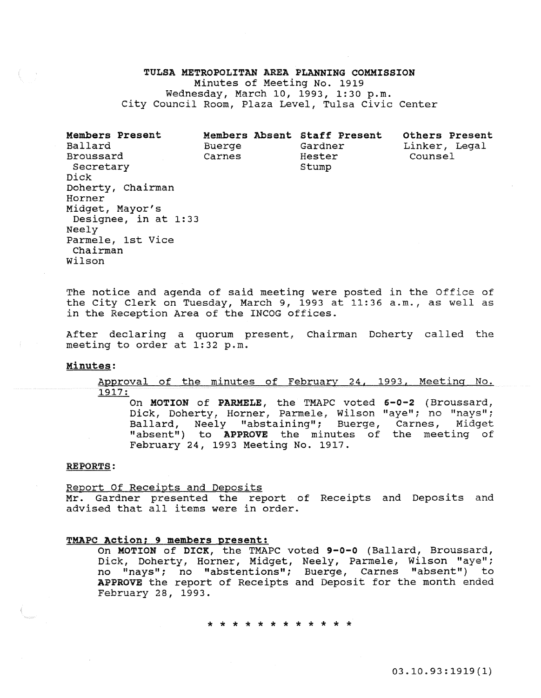# TULSA METROPOLITAN AREA PLANNING COMMISSION Minutes of Meeting No. 1919 Wednesday, March 10, 1993, 1:30 p.m. City Council Room, Plaza Level, Tulsa Civic Center

Members Present Ballard Broussard Secretary Dick Doherty, Chairman Horner Midget, Mayor's Designee, in at 1:33 Neely Parmele, 1st Vice Chairman Wilson Members Absent Staff Present Buerge Carnes Gardner Hester Stump Others Present Linker, Legal Counsel

The notice and agenda of said meeting were posted in the Office of the City Clerk on Tuesday, March 9, 1993 at 11:36 a.m., as well as in the Reception Area of the INCOG offices.

After declaring a quorum present, Chairman Doherty called the meeting to order at 1:32 p.m.

# Minutes:

Approval of the minutes of February 24, 1993, Meeting No. 1917:

On MOTION of PARMELE, the TMAPC voted 6-0-2 (Broussard, Dick, Doherty, Horner, Parmele, Wilson "aye"; no "nays"; Ballard, Neely "abstaining"; Buerge, Carnes, Midget "absent") to APPROVE the minutes of the meeting of February 24, 1993 Meeting No. 1917.

## REPORTS:

### Report Of Receipts and Deposits

Mr. Gardner presented the report of Receipts and Deposits and advised that all items were in order.

## TMAPC Action; 9 members present:

On MOTION of DICK, the TMAPC voted 9-0-0 (Ballard, Broussard, Dick, Doherty, Horner, Midget, Neely, Parmele, Wilson "aye"; no "nays"; no "abstentions"; Buerge, Carnes "absent") to APPROVE the report of Receipts and Deposit for the month ended February 28, 1993.

\* \* \* \* \* \* \* \* \* \* \* \*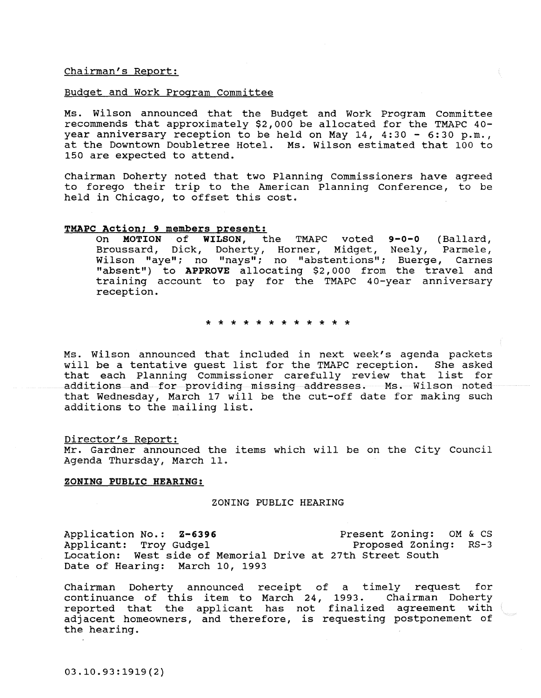Chairman's Report:

### Budget and Work Program Committee

Ms. Wilson announced that the Budget and Work Program Committee recommends that approximately \$2,000 be allocated for the TMAPC 40 year anniversary reception to be held on May 14, 4:30 - 6:30 p.m., at the Downtown Doubletree Hotel. Ms. Wilson estimated that 100 to 150 are expected to attend.

Chairman Doherty noted that two Planning Commissioners have agreed to forego their trip to the American Planning Conference, to be held in Chicago, to offset this cost.

# TMAPC Action; 9 members present:<br>On MOTION of WILSON, the

TMAPC voted 9-0-0 (Ballard, Broussard, Dick, Doherty, Horner, Midget, Neely, Parmele, Wilson "aye"; no "nays"; no "abstentions"; Buerge, Carnes "absent") to APPROVE allocating \$2,000 from the travel and training account to pay for the TMAPC 40-year anniversary reception.

\* \* \* \* \* \* \* \* \* \* \* \*

Ms. Wilson announced that included in next week's agenda packets will be a tentative quest list for the TMAPC reception. that each Planning Commissioner carefully review that list for additions and for providing missing addresses. Ms. Wilson noted that Wednesday, March 17 will be the cut-off date for making such additions to the mailing list.

### Director's Report:

Mr. Gardner announced the items which will be on the City Council Agenda Thursday, March 11.

### ZONING PUBLIC HEARING:

### ZONING PUBLIC HEARING

Application No.: Z-6396 Applicant: Troy Gudgel Location: West side of Memorial Drive at 27th Street South Date of Hearing: March 10, 1993 Present Zoning: OM & cs Proposed Zoning: RS-3

Chairman Doherty announced receipt of a timely request for continuance of this item to March 24, 1993. Chairman Doherty concinuance of this from to hardn  $24$ , 1999. Shaffman Sonstop adjacent homeowners, and therefore, is requesting postponement of the hearing.

03.10.93:1919(2)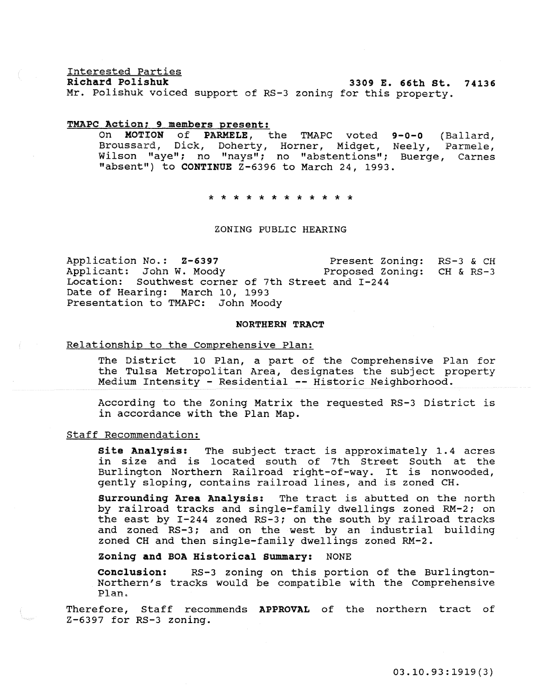Interested Parties

3309 E. 66th St. 74136

Mr. Polishuk voiced support of RS-3 zoning for this property.

### TMAPC Action; 9 members present:

9-0-0 (Ballard, Neely, Parmele, Buerge, Carnes On MOTION of PARMELE, the TMAPC voted Broussard, Dick, Doherty, Horner, Midget, Wilson "aye"; no "nays"; no "abstentions"; "absent") to CONTINUE Z-6396 to March 24, 1993.

\* \* \* \* \* \* \* \* \* \* \* \*

# ZONING PUBLIC HEARING

Application No.: 2-6397 Present Zoning: RS-3 & CH<br>Applicant: John W. Moody Proposed Zoning: CH & RS-3 Applicant: John W. Moody Location: Southwest corner of 7th Street and I-244 Date of Hearing: March 10, 1993 Presentation to TMAPC: John Moody

### NORTHERN TRACT

# Relationship to the Comprehensive Plan:

The District 10 Plan, a part of the Comprehensive Plan for the Tulsa Metropolitan Area, designates the subject property Medium Intensity - Residential -- Historic Neighborhood.

According to the Zoning Matrix the requested RS-3 District is in accordance with the Plan Map.

# Staff Recommendation:

Site Analysis: The subject tract is approximately 1.4 acres in size and is located south of 7th Street South at the Burlington Northern Railroad right-of-way. It is nonwooded, gently sloping, contains railroad lines, and is zoned CH.

surrounding Area Analysis: The tract is abutted on the north by railroad tracks and single-family dwellings zoned RM-2; on the east by I-244 zoned RS-3; on the south by railroad tracks and zoned RS-3; and on the west by an industrial building zoned CH and then single-family dwellings zoned RM-2.

Zoning and BOA Historical summary: NONE

conclusion: RS-3 zoning on this portion of the Burlington-Northern's tracks would be compatible with the Comprehensive Plan.

Therefore, Staff recommends APPROVAL of the northern tract of Z-6397 for RS-3 zoning.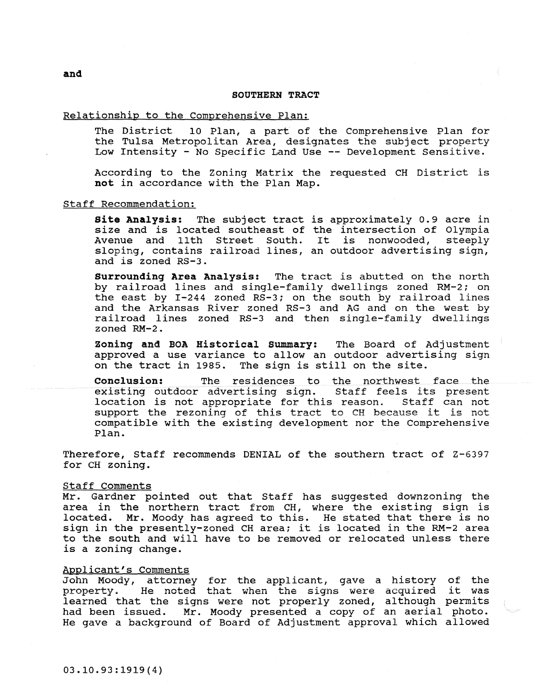# SOUTHERN TRACT

## Relationship to the Comprehensive Plan:

The District 10 Plan, a part of the Comprehensive Plan for the Tulsa Metropolitan Area, designates the subject property Low Intensity - No Specific Land Use -- Development Sensitive.

According to the Zoning Matrix the requested CH District is not in accordance with the Plan Map.

## Staff Recommendation:

Site Analysis: The subject tract is approximately 0.9 acre in size and is located southeast of the intersection of Olympia Avenue and 11th Street South. It is nonwooded, steeply sloping, contains railroad lines, an outdoor advertising sign, and is zoned RS-3.

surrounding Area Analysis: The tract is abutted on the north by railroad lines and single-family dwellings zoned RM-2; on the east by I-244 zoned RS-3; on the south by railroad lines and the Arkansas River zoned RS-3 and AG and on the west by railroad lines zoned RS-3 and then single-family dwellings zoned RM-2.

zoning and BOA Historical summary: The Board of Adjustment approved a use variance to allow an outdoor advertising sign approved a use variance to allow an outdoor adverting the tract in 1985. The sign is still on the site.

**Conclusion:** The residences to the northwest face the existing outdoor advertising sign. Staff feels its present existing outdoor advertising sign. Staff feels its present<br>location is not appropriate for this reason. Staff can not location is not appropriate for this reason. support the rezoning of this tract to CH because it is not compatible with the existing development nor the Comprehensive Plan.

Therefore, Staff recommends DENIAL of the southern tract of Z-6397 for CH zoning.

### Staff Comments

Mr. Gardner pointed out that Staff has suggested downzoning the area in the northern tract from CH, where the existing sign is located. Mr. Moody has agreed to this. He stated that there is no sign in the presently-zoned CH area; it is located in the RM-2 area to the south and will have to be removed or relocated unless there is a zoning change.

### Applicant's Comments

John Moody, attorney for the applicant, gave a history of the property. He noted that when the signs were acquired it was learned that the signs were not properly zoned, although permits had been issued. Mr. Moody presented a copy of an aerial photo. He gave a background of Board of Adjustment approval which allowed

and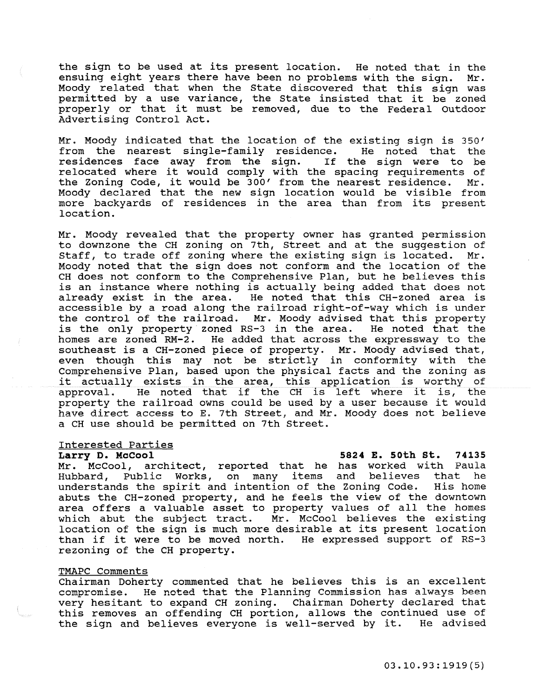the sign to be used at its present location. He noted that in the ensuing eight years there have been no problems with the sign. Moody related that when the State discovered that this sign was moody related that when the state discovered that this sign was<br>permitted by a use variance, the State insisted that it be zoned permitted by a use variance, the state insisted that it be zoned<br>properly or that it must be removed, due to the Federal Outdoor Advertising Control Act.

Mr. Moody indicated that the location of the existing sign is 350'<br>from the nearest single-family residence. He noted that the from the nearest single-family residence. He noted that the<br>residences face away from the sign. If the sign were to be residences face away from the sign. residences race away from the sign. If the sign were to be<br>relocated where it would comply with the spacing requirements of reflocated where it would comply with the spacing requirements of<br>the Zoning Code, it would be 300' from the nearest residence. Mr. Moody declared that the new sign location would be visible from more backyards of residences in the area than from its present location.

Mr. Moody revealed that the property owner has granted permission to downzone the CH zoning on 7th, Street and at the suggestion of staff, to trade off zoning where the existing sign is located. Mr. Moody noted that the sign does not conform and the location of the CH does not conform to the Comprehensive Plan, but he believes this is an instance where nothing is actually being added that does not already exist in the area. He noted that this CH-zoned area is accessible by a road along the railroad right-of-way which is under the control of the railroad. Mr. Moody advised that this property is the only property zoned RS-3 in the area. He noted that the homes are zoned RM-2. He added that across the expressway to the southeast is a CH-zoned piece of property. Mr. Moody advised that, even though this may not be strictly in conformity with the Comprehensive Plan, based upon the physical facts and the zoning as comprenensive Plan, based upon the physical lacts and the zoning as<br>it actually exists in the area, this application is worthy of It actually exists in the area, this application is worthy of<br>approval. He noted that if the CH is left where it is, the property the railroad owns could be used by a user because it would have direct access to E. 7th Street, and Mr. Moody does not believe a CH use should be permitted on 7th Street.

# Interested Parties<br>Larry D. McCool

<u>Interested Parties</u><br>Larry D. McCool 5824 E. 50th St. 74135

Mr. McCool, architect, reported that he has worked with Paula Hubbard, Public Works, on many items and believes that he understands the spirit and intention of the Zoning Code. His home abuts the CH-zoned property, and he feels the view of the downtown area offers a valuable asset to property values of all the homes which abut the subject tract. Mr. McCool believes the existing location of the sign is much more desirable at its present location than if it were to be moved north. He expressed support of RS-3 rezoning of the CH property.

# TMAPC Comments

Chairman Doherty commented that he believes this is an excellent<br>compromise. He noted that the Planning Commission has always been He noted that the Planning Commission has always been very hesitant to expand CH zoning. Chairman Doherty declared that this removes an offending CH portion, allows the continued use of the sign and believes everyone is well-served by it. He advised the sign and believes everyone is well-served by it.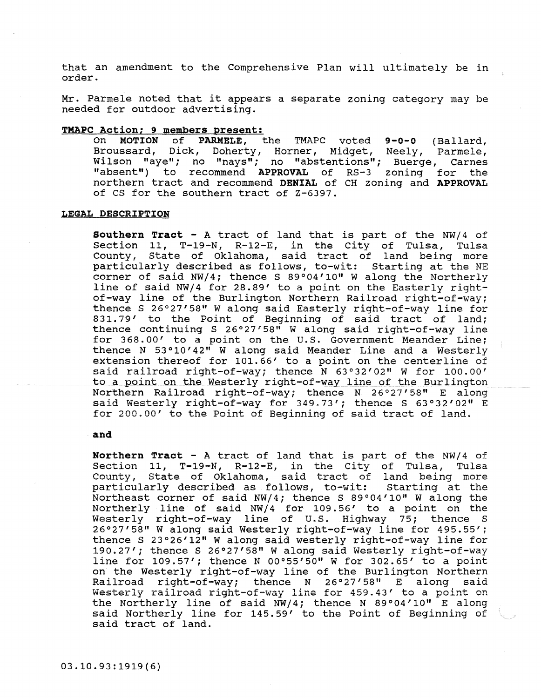that an amendment to the Comprehensive Plan will ultimately be in order.

Mr. Parmele noted that it appears a separate zoning category may be needed for outdoor advertising.

# **TMAPC Action; 9 members present:**

On **MOTION of PARMELE,** the T¥APC voted **9-0-0** (Ballard, Broussard, Dick, Doherty, Horner, Midget, Neely, Parmele, Wilson "aye"; no "nays"; no "abstentions"; Buerge, Carnes "absent") to recommend **APPROVAL** of RS-3 zoning for the northern tract and recommend **DENIAL** of CH zoning and **APPROVAL**  of CS for the southern tract of Z-6397.

# **LEGAL DESCRIPTION**

**Southern Tract** - A tract of land that is part of the NW/4 of Section 11, T-19-N, R-12-E, in the city of Tulsa, Tulsa County, State of Oklahoma, said tract of land being more particularly described as follows, to-wit: Starting at the NE corner of said  $NW/4$ ; thence S 89°04'10" W along the Northerly line of said NW/4 for 28.89' to a point on the Easterly rightof-way line of the Burlington Northern Railroad right-of-way; thence S 26°27'58" W along said Easterly right-of-way line for 831.79' to the Point of Beginning of said tract of land; thence continuing S 26°27'58" W along said right-of-way line for 368.00' to a point on the U.S. Government Meander Line; thence N 53°10'42" W along said Meander Line and a Westerly extension thereof for 101.66' to a point on the centerline of said railroad right-of-way; thence N 63°32'02" W for 100.00' to a point on the Westerly right-of-way line of the Burlington Northern Railroad right-of-way; thence N 26°27'58" E along said Westerly right-of-way for 349.73'; thence S 63°32'02" E for 200.00' to the Point of Beginning of said tract of land.

### **and**

**Northern Tract** - A tract of land that is part of the NW/4 of Section 11, T-19-N, R-12-E, in the City of Tulsa, Tulsa County, State of Oklahoma, said tract of land being more particularly described as follows, to-wit: Starting at the Northeast corner of said NW/4; thence S 89°04'10" W along the Northerly line of said NW/4 for 109. 56' to a point on the Westerly right-of-way line of U.S. Highway 75; thence s 26°27'58" W along said Westerly right-of-way line for 495.55'; thence S 23°26'12" W along said westerly right-of-way line for 190.27'; thence S 26°27'58" W along said Westerly right-of-way line for  $109.57'$ ; thence N 00°55'50" W for 302.65' to a point on the Westerly right-of-way line of the Burlington Northern<br>Railroad right-of-way: thence N 26°27'58" E along said Railroad right-of-way; thence N  $26^{\circ}27'58"$  E along **Westerly railroad right-of=way line for 459.43' to a point on**  the Northerly line of said NW/4; thence N 89°04'10" E along said Northerly line for 145.59' to the Point of Beginning of said tract of land.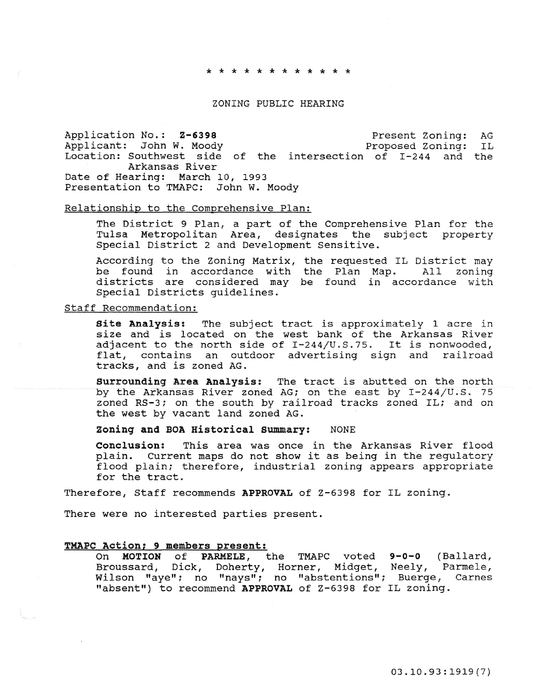### \* \* \* \* \* \* \* \* \* \* \* \*

## ZONING PUBLIC HEARING

Application No.: 2-6398 Present Zoning: AG وApplication No.: 2-6398 Present Zoning: AG Applicant: John W. Moody Location: Southwest side of the intersection of I-244 and the Arkansas River Date of Hearing: March 10, 1993 Presentation to TMAPC: John W. Moody

### Relationship to the Comprehensive Plan:

The District 9 Plan, a part of the Comprehensive Plan for the Tulsa Metropolitan Area, designates the subject property Special District 2 and Development Sensitive.

According to the Zoning Matrix, the requested IL District may be found in accordance with the Plan Map. All zoning districts are considered may be found in accordance with Special Districts guidelines.

# Staff Recommendation:

Site Analysis: The subject tract is approximately 1 acre in size and is located on the west bank of the Arkansas River adjacent to the north side of I-244/U.S.75. It is nonwooded, flat, contains an outdoor advertising sign and railroad tracks, and is zoned AG.

surrounding Area Analysis: The tract is abutted on the north by the Arkansas River zoned AG; on the east by I-244/U.S. 75 zoned RS-3; on the south by railroad tracks zoned IL; and on the west by vacant land zoned AG.

zoning and BOA Historical summary: NONE

Conclusion: This area was once in the Arkansas River flood plain. Current maps do not show it as being in the regulatory flood plain; therefore, industrial zoning appears appropriate for the tract.

Therefore, Staff recommends APPROVAL of Z-6398 for IL zoning.

There were no interested parties present.

### TMAPC Action; 9 members present:

On MOTION of PARMELE, the TMAPC voted 9-0-0 (Ballard, Broussard, Dick, Doherty, Horner, Midget, Neely, Parmele, Wilson "aye"; no "nays"; no "abstentions"; Buerge, Carnes "absent") to recommend APPROVAL of Z-6398 for IL zoning.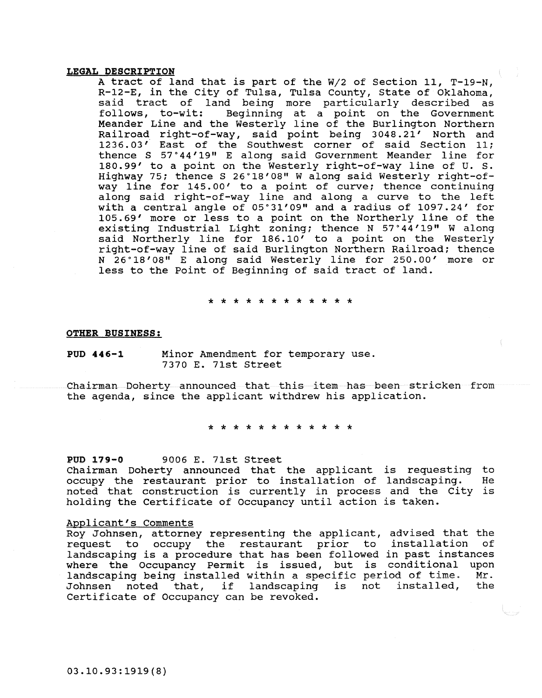### LEGAL DESCRIPTION

A tract of land that is part of the W/2 of Section 11, T-19-N, R-12-E, in the City of Tulsa, Tulsa County, State of Oklahoma, said tract of land being more particularly described as<br>follows, to-wit: Beginning at a point on the Government Beginning at a point on the Government Meander Line and the Westerly line of the Burlington Northern Railroad right-of-way, said point being 3048.21' North and 1236.03' East of the Southwest corner of said Section 11; thence S 57· 44'19" E along said Government Meander line for 180.99' to a point on the Westerly right-of-way line of U. s. Highway 75; thence S 26°18'08" W along said Westerly right-ofway line for 145. 00' to a point of curve; thence continuing along said right-of-way line and along a curve to the left with a central angle of 05°31'09" and a radius of 1097.24' for 105.69' more or less to a point on the Northerly line of the existing Industrial Light zoning; thence N 57°44'19" W along said Northerly line for 186. 10' to a point on the Westerly right-of-way line of said Burlington Northern Railroad; thence N 26 • 18' 08" E along said Westerly line for 250. oo' more or less to the Point of Beginning of said tract of land.

\* \* \* \* \* \* \* \* \* \* \* \*

OTHER BUSINESS:

POD 446-1 Minor Amendment for temporary use. 7370 E. 71st Street

Chairman Doherty announced that this item has been stricken from the agenda, since the applicant withdrew his application.

\* \* \* \* \* \* \* \* \* \* \* \*

POD 179-0 9006 E. 71st Street

Chairman Doherty announced that the applicant is requesting to occupy the restaurant prior to installation of landscaping. noted that construction is currently in process and the City is holding the Certificate of Occupancy until action is taken.

### Applicant's Comments

Roy Johnsen, attorney representing the applicant, advised that the request to occupy the restaurant prior to installation of request to occupy the restaurant prior to installation landscaping is a procedure that has been followed in past instances where the Occupancy Permit is issued, but is conditional upon landscaping being installed within a specific period of time. Mr. Johnsen noted that, if landscaping is not installed, the Johnsen noted that, if landscaping is not installed,<br>Certificate of Occupancy can be revoked.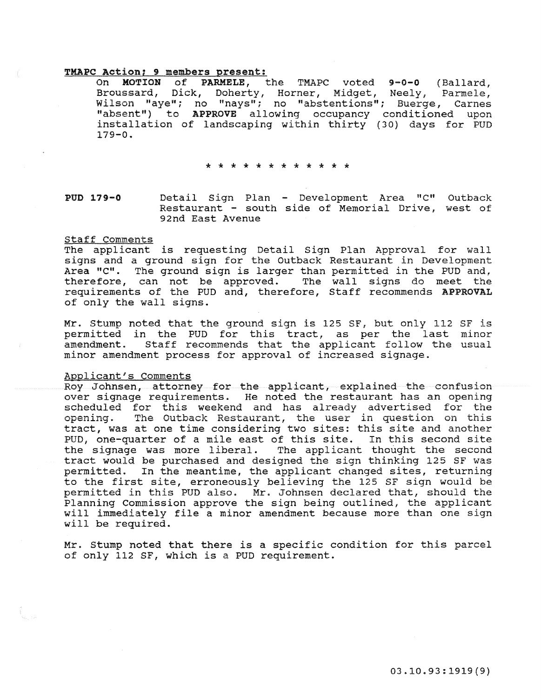# **TMAPC Action; 9 members present:**<br>On **MOTION** of **PARMELE**.

MOTION of PARMELE, the TMAPC voted 9-0-0 (Ballard,<br>ussard, Dick, Doherty, Horner, Midget, Neely, Parmele, Broussard, Dick, Doherty, Horner, Midget, Neely, Wilson "aye"; no "nays"; no "abstentions"; Buerge, Carnes "absent") to APPROVE allowing occupancy conditioned upon installation of landscaping within thirty (30) days for PUD  $179 - 0.$ 

### \* \* \* \* \* \* \* \* \* \* \* \*

### PUD 179-0 Detail Sign Plan - Development Area "C" Outback Restaurant - south side of Memorial Drive, west of 92nd East Avenue

### Staff Comments

The applicant is requesting Detail Sign Plan Approval for wall signs and a ground sign for the Outback Restaurant in Development Area "C". The ground sign is larger than permitted in the PUD and, therefore, can not be approved. The wall signs do meet the requirements of the PUD and, therefore, Staff recommends APPROVAL of only the wall signs.

Mr. Stump noted that the ground sign is 125 SF, but only 112 SF is permitted in the PUD for this tract, as per the last minor amendment. Staff recommends that the applicant follow the usual minor amendment process for approval of increased signage.

### Applicant's Comments

Roy Johnsen, attorney for the applicant, explained the confusion over signage requirements. He noted the restaurant has an opening scheduled for this weekend and has already advertised for the  $\delta$  opening. The Outback Restaurant, the user in question on tract, was at one time considering two sites: this site and another PUD, one-quarter of a mile east of this site. In this second site the signage was more liberal. The applicant thought the second tract would be purchased and designed the sign thinking 125 SF was permitted. In the meantime, the applicant changed sites, returning to the first site, erroneously believing the 125 SF sign would be permitted in this PUD also. Mr. Johnsen declared that, should the Planning Commission approve the sign being outlined, the applicant will immediately file a minor amendment because more than one sign will be required.

Mr. Stump noted that there is a specific condition for this parcel of only 112 SF, which is a PUD requirement.